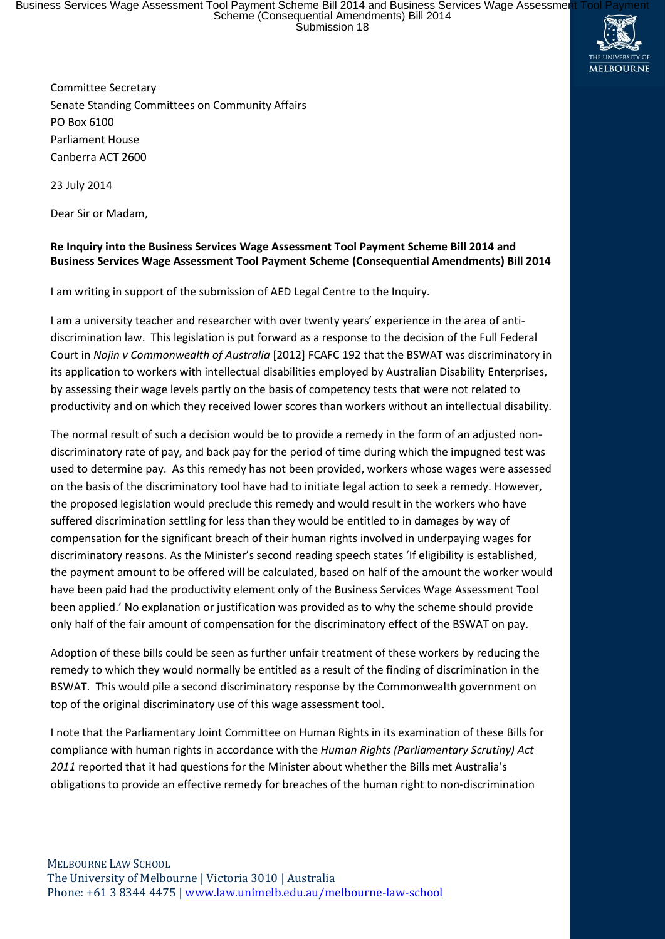Business Services Wage Assessment Tool Payment Scheme Bill 2014 and Business Services Wage Assessmer<br>Scheme (Consequential Amendments) Bill 2014<br>Submission 18



Committee Secretary Senate Standing Committees on Community Affairs PO Box 6100 Parliament House Canberra ACT 2600

23 July 2014

Dear Sir or Madam,

## **Re Inquiry into the Business Services Wage Assessment Tool Payment Scheme Bill 2014 and Business Services Wage Assessment Tool Payment Scheme (Consequential Amendments) Bill 2014**

I am writing in support of the submission of AED Legal Centre to the Inquiry.

I am a university teacher and researcher with over twenty years' experience in the area of antidiscrimination law. This legislation is put forward as a response to the decision of the Full Federal Court in *Nojin v Commonwealth of Australia* [2012] FCAFC 192 that the BSWAT was discriminatory in its application to workers with intellectual disabilities employed by Australian Disability Enterprises, by assessing their wage levels partly on the basis of competency tests that were not related to productivity and on which they received lower scores than workers without an intellectual disability.

The normal result of such a decision would be to provide a remedy in the form of an adjusted nondiscriminatory rate of pay, and back pay for the period of time during which the impugned test was used to determine pay. As this remedy has not been provided, workers whose wages were assessed on the basis of the discriminatory tool have had to initiate legal action to seek a remedy. However, the proposed legislation would preclude this remedy and would result in the workers who have suffered discrimination settling for less than they would be entitled to in damages by way of compensation for the significant breach of their human rights involved in underpaying wages for discriminatory reasons. As the Minister's second reading speech states 'If eligibility is established, the payment amount to be offered will be calculated, based on half of the amount the worker would have been paid had the productivity element only of the Business Services Wage Assessment Tool been applied.' No explanation or justification was provided as to why the scheme should provide only half of the fair amount of compensation for the discriminatory effect of the BSWAT on pay.

Adoption of these bills could be seen as further unfair treatment of these workers by reducing the remedy to which they would normally be entitled as a result of the finding of discrimination in the BSWAT. This would pile a second discriminatory response by the Commonwealth government on top of the original discriminatory use of this wage assessment tool.

I note that the Parliamentary Joint Committee on Human Rights in its examination of these Bills for compliance with human rights in accordance with the *Human Rights (Parliamentary Scrutiny) Act 2011* reported that it had questions for the Minister about whether the Bills met Australia's obligations to provide an effective remedy for breaches of the human right to non-discrimination